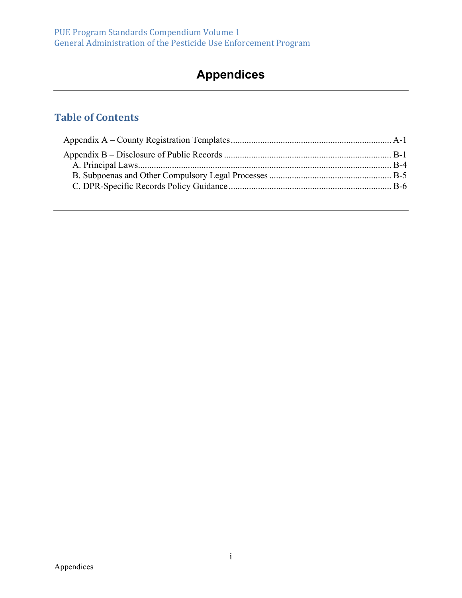# **Appendices**

## **Table of Contents**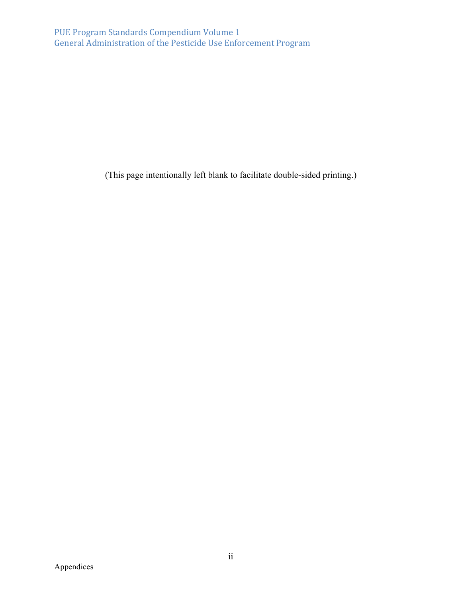(This page intentionally left blank to facilitate double-sided printing.)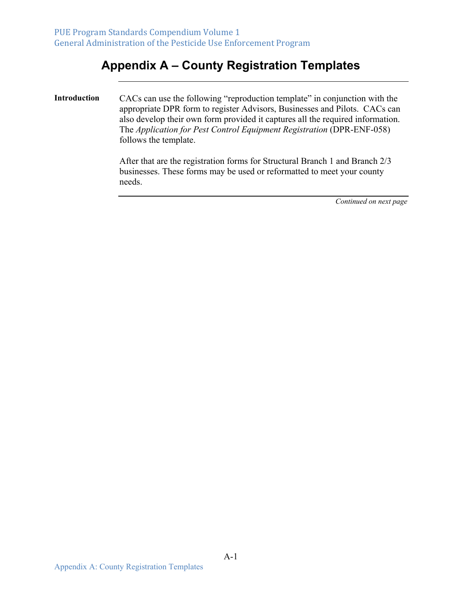## **Appendix A – County Registration Templates**

**Introduction** CACs can use the following "reproduction template" in conjunction with the appropriate DPR form to register Advisors, Businesses and Pilots. CACs can also develop their own form provided it captures all the required information. The *Application for Pest Control Equipment Registration* (DPR-ENF-058) follows the template.

> After that are the registration forms for Structural Branch 1 and Branch 2/3 businesses. These forms may be used or reformatted to meet your county needs.

> > *Continued on next page*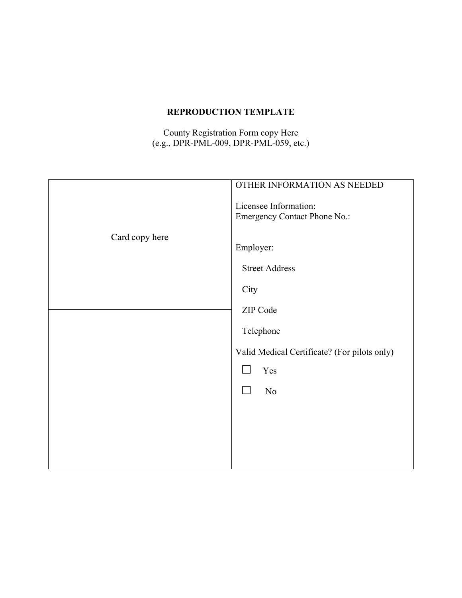#### **REPRODUCTION TEMPLATE**

County Registration Form copy Here (e.g., DPR-PML-009, DPR-PML-059, etc.)

|                | OTHER INFORMATION AS NEEDED<br>Licensee Information:<br><b>Emergency Contact Phone No.:</b> |
|----------------|---------------------------------------------------------------------------------------------|
| Card copy here | Employer:                                                                                   |
|                | <b>Street Address</b>                                                                       |
|                | City                                                                                        |
|                | ZIP Code                                                                                    |
|                | Telephone                                                                                   |
|                | Valid Medical Certificate? (For pilots only)                                                |
|                | Yes                                                                                         |
|                | N <sub>o</sub>                                                                              |
|                |                                                                                             |
|                |                                                                                             |
|                |                                                                                             |
|                |                                                                                             |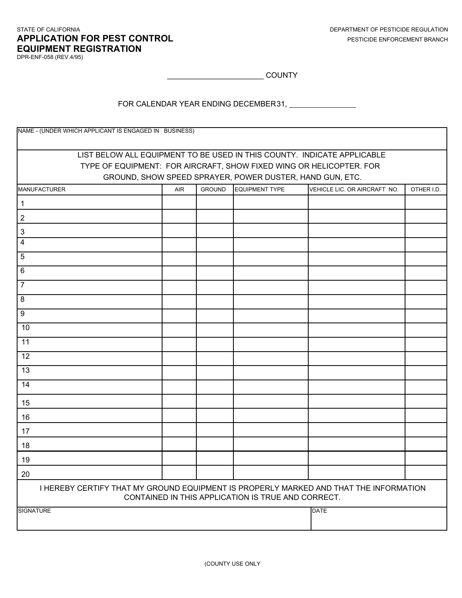#### STATE OF CALIFORNIA **APPLICATION FOR PEST CONTROL EQUIPMENT REGISTRATION**

DPR-ENF-058 (REV.4/95)

 $\begin{array}{|c|c|c|}\hline \multicolumn{1}{c|}{\text{COUNTY}}\hline \end{array}$ 

FOR CALENDAR YEAR ENDING DECEMBER 31, PHOTO CALENDAR YEAR ENDING DECEMBER 31,

| NAME - (UNDER WHICH APPLICANT IS ENGAGED IN BUSINESS)                                                                                       |                                                                         |               |                                                          |                                                                     |            |
|---------------------------------------------------------------------------------------------------------------------------------------------|-------------------------------------------------------------------------|---------------|----------------------------------------------------------|---------------------------------------------------------------------|------------|
|                                                                                                                                             |                                                                         |               |                                                          |                                                                     |            |
|                                                                                                                                             | LIST BELOW ALL EQUIPMENT TO BE USED IN THIS COUNTY. INDICATE APPLICABLE |               |                                                          |                                                                     |            |
|                                                                                                                                             |                                                                         |               |                                                          | TYPE OF EQUIPMENT: FOR AIRCRAFT, SHOW FIXED WING OR HELICOPTER. FOR |            |
|                                                                                                                                             |                                                                         |               | GROUND, SHOW SPEED SPRAYER, POWER DUSTER, HAND GUN, ETC. |                                                                     |            |
| <b>MANUFACTURER</b>                                                                                                                         | AIR                                                                     | <b>GROUND</b> | <b>EQUIPMENT TYPE</b>                                    | VEHICLE LIC. OR AIRCRAFT NO.                                        | OTHER I.D. |
| 1                                                                                                                                           |                                                                         |               |                                                          |                                                                     |            |
| $\overline{2}$                                                                                                                              |                                                                         |               |                                                          |                                                                     |            |
| 3                                                                                                                                           |                                                                         |               |                                                          |                                                                     |            |
| $\overline{4}$                                                                                                                              |                                                                         |               |                                                          |                                                                     |            |
| 5                                                                                                                                           |                                                                         |               |                                                          |                                                                     |            |
| 6                                                                                                                                           |                                                                         |               |                                                          |                                                                     |            |
| $\overline{7}$                                                                                                                              |                                                                         |               |                                                          |                                                                     |            |
| 8                                                                                                                                           |                                                                         |               |                                                          |                                                                     |            |
| 9                                                                                                                                           |                                                                         |               |                                                          |                                                                     |            |
| 10                                                                                                                                          |                                                                         |               |                                                          |                                                                     |            |
| 11                                                                                                                                          |                                                                         |               |                                                          |                                                                     |            |
| 12                                                                                                                                          |                                                                         |               |                                                          |                                                                     |            |
| 13                                                                                                                                          |                                                                         |               |                                                          |                                                                     |            |
| 14                                                                                                                                          |                                                                         |               |                                                          |                                                                     |            |
| 15                                                                                                                                          |                                                                         |               |                                                          |                                                                     |            |
| 16                                                                                                                                          |                                                                         |               |                                                          |                                                                     |            |
| 17                                                                                                                                          |                                                                         |               |                                                          |                                                                     |            |
| 18                                                                                                                                          |                                                                         |               |                                                          |                                                                     |            |
| 19                                                                                                                                          |                                                                         |               |                                                          |                                                                     |            |
| 20                                                                                                                                          |                                                                         |               |                                                          |                                                                     |            |
| I HEREBY CERTIFY THAT MY GROUND EQUIPMENT IS PROPERLY MARKED AND THAT THE INFORMATION<br>CONTAINED IN THIS APPLICATION IS TRUE AND CORRECT. |                                                                         |               |                                                          |                                                                     |            |
| <b>SIGNATURE</b>                                                                                                                            |                                                                         |               |                                                          | <b>DATE</b>                                                         |            |
|                                                                                                                                             |                                                                         |               |                                                          |                                                                     |            |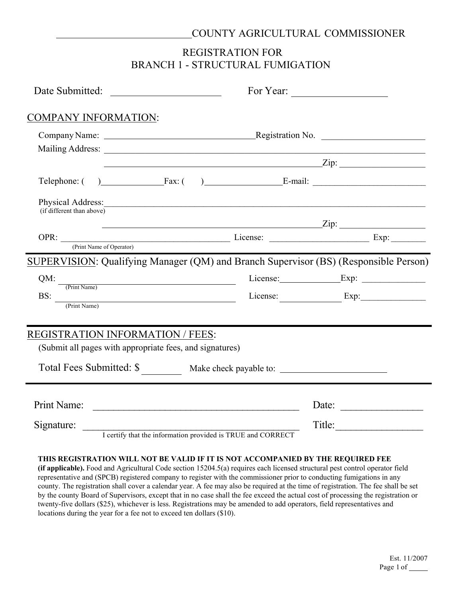#### COUNTY AGRICULTURAL COMMISSIONER

## REGISTRATION FOR BRANCH 1 - STRUCTURAL FUMIGATION

|                                                                                                                                                                                                                                                                                                                                                                                                                                     |                                                             | For Year:                                                                                                       |  |
|-------------------------------------------------------------------------------------------------------------------------------------------------------------------------------------------------------------------------------------------------------------------------------------------------------------------------------------------------------------------------------------------------------------------------------------|-------------------------------------------------------------|-----------------------------------------------------------------------------------------------------------------|--|
| <b>COMPANY INFORMATION:</b>                                                                                                                                                                                                                                                                                                                                                                                                         |                                                             |                                                                                                                 |  |
|                                                                                                                                                                                                                                                                                                                                                                                                                                     |                                                             |                                                                                                                 |  |
|                                                                                                                                                                                                                                                                                                                                                                                                                                     |                                                             |                                                                                                                 |  |
|                                                                                                                                                                                                                                                                                                                                                                                                                                     | $\sum$ ip:                                                  |                                                                                                                 |  |
| Telephone: () Fax: () E-mail:                                                                                                                                                                                                                                                                                                                                                                                                       |                                                             |                                                                                                                 |  |
| Physical Address: 1988 and 2008 and 2008 and 2008 and 2008 and 2008 and 2008 and 2008 and 2008 and 2008 and 20<br>(if different than above)                                                                                                                                                                                                                                                                                         |                                                             |                                                                                                                 |  |
|                                                                                                                                                                                                                                                                                                                                                                                                                                     |                                                             |                                                                                                                 |  |
| OPR: <u>(Print Name of Operator)</u> License: <u>License:</u> Exp: Exp:                                                                                                                                                                                                                                                                                                                                                             |                                                             |                                                                                                                 |  |
| SUPERVISION: Qualifying Manager (QM) and Branch Supervisor (BS) (Responsible Person)                                                                                                                                                                                                                                                                                                                                                |                                                             |                                                                                                                 |  |
|                                                                                                                                                                                                                                                                                                                                                                                                                                     |                                                             |                                                                                                                 |  |
| $QM:$ $\frac{QM}{(Print Name)}$                                                                                                                                                                                                                                                                                                                                                                                                     |                                                             | License: Exp:                                                                                                   |  |
| $\text{BS:}\n \begin{array}{c}\n \text{(-1,0)} \\ \text{(-2,0)} \\ \text{(-2,0)} \\ \text{(-3,0)} \\ \text{(-4,0)} \\ \text{(-5,0)} \\ \text{(-6,0)} \\ \text{(-6,0)} \\ \text{(-6,0)} \\ \text{(-6,0)} \\ \text{(-6,0)} \\ \text{(-6,0)} \\ \text{(-6,0)} \\ \text{(-6,0)} \\ \text{(-6,0)} \\ \text{(-6,0)} \\ \text{(-6,0)} \\ \text{(-6,0)} \\ \text{(-6,0)} \\ \text{(-6,0)} \\ \text{(-6,0)} \\ \text{(-6,0)} \\ \text{(-6,0$ |                                                             |                                                                                                                 |  |
| REGISTRATION INFORMATION / FEES:                                                                                                                                                                                                                                                                                                                                                                                                    |                                                             |                                                                                                                 |  |
| (Submit all pages with appropriate fees, and signatures)                                                                                                                                                                                                                                                                                                                                                                            |                                                             |                                                                                                                 |  |
| Total Fees Submitted: \$ ___________ Make check payable to: _____________________                                                                                                                                                                                                                                                                                                                                                   |                                                             |                                                                                                                 |  |
|                                                                                                                                                                                                                                                                                                                                                                                                                                     |                                                             |                                                                                                                 |  |
|                                                                                                                                                                                                                                                                                                                                                                                                                                     |                                                             |                                                                                                                 |  |
|                                                                                                                                                                                                                                                                                                                                                                                                                                     |                                                             | Date:                                                                                                           |  |
| Signature:                                                                                                                                                                                                                                                                                                                                                                                                                          | I certify that the information provided is TRUE and CORRECT | $\text{Title:} \begin{tabular}{ c c c } \hline \quad \quad & \quad \quad & \quad \quad \\ \hline \end{tabular}$ |  |
|                                                                                                                                                                                                                                                                                                                                                                                                                                     |                                                             |                                                                                                                 |  |

#### **THIS REGISTRATION WILL NOT BE VALID IF IT IS NOT ACCOMPANIED BY THE REQUIRED FEE**

**(if applicable).** Food and Agricultural Code section 15204.5(a) requires each licensed structural pest control operator field representative and (SPCB) registered company to register with the commissioner prior to conducting fumigations in any county. The registration shall cover a calendar year. A fee may also be required at the time of registration. The fee shall be set by the county Board of Supervisors, except that in no case shall the fee exceed the actual cost of processing the registration or twenty-five dollars (\$25), whichever is less. Registrations may be amended to add operators, field representatives and locations during the year for a fee not to exceed ten dollars (\$10).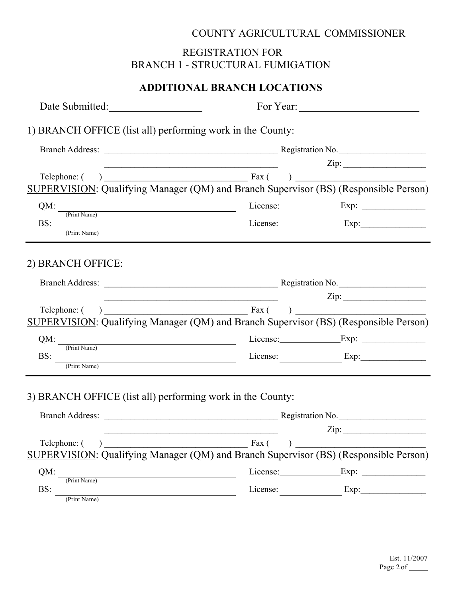#### COUNTY AGRICULTURAL COMMISSIONER

## REGISTRATION FOR BRANCH 1 - STRUCTURAL FUMIGATION

## **ADDITIONAL BRANCH LOCATIONS**

| Date Submitted:                                                                                                                                                                                                                                                                                                                                                                                                                     |                                                                                                                                                                                                                                                                                                                                                                                                                                                                                                   |  |
|-------------------------------------------------------------------------------------------------------------------------------------------------------------------------------------------------------------------------------------------------------------------------------------------------------------------------------------------------------------------------------------------------------------------------------------|---------------------------------------------------------------------------------------------------------------------------------------------------------------------------------------------------------------------------------------------------------------------------------------------------------------------------------------------------------------------------------------------------------------------------------------------------------------------------------------------------|--|
| 1) BRANCH OFFICE (list all) performing work in the County:                                                                                                                                                                                                                                                                                                                                                                          |                                                                                                                                                                                                                                                                                                                                                                                                                                                                                                   |  |
|                                                                                                                                                                                                                                                                                                                                                                                                                                     |                                                                                                                                                                                                                                                                                                                                                                                                                                                                                                   |  |
|                                                                                                                                                                                                                                                                                                                                                                                                                                     | $\text{Zip:}\n \begin{picture}(150,10) \put(0,0){\dashbox{0.5}(10,0){ }} \put(15,0){\dashbox{0.5}(10,0){ }} \put(15,0){\dashbox{0.5}(10,0){ }} \put(15,0){\dashbox{0.5}(10,0){ }} \put(15,0){\dashbox{0.5}(10,0){ }} \put(15,0){\dashbox{0.5}(10,0){ }} \put(15,0){\dashbox{0.5}(10,0){ }} \put(15,0){\dashbox{0.5}(10,0){ }} \put(15,0){\dashbox{0.5}(10,0){ }} \put(1$<br><u> 1980 - Johann Barbara, martin amerikan basar dan berasal dalam basa dalam basar dalam basar dalam basa dalam </u> |  |
|                                                                                                                                                                                                                                                                                                                                                                                                                                     | SUPERVISION: Qualifying Manager (QM) and Branch Supervisor (BS) (Responsible Person)                                                                                                                                                                                                                                                                                                                                                                                                              |  |
|                                                                                                                                                                                                                                                                                                                                                                                                                                     |                                                                                                                                                                                                                                                                                                                                                                                                                                                                                                   |  |
|                                                                                                                                                                                                                                                                                                                                                                                                                                     |                                                                                                                                                                                                                                                                                                                                                                                                                                                                                                   |  |
| $\text{BS:}\n \begin{array}{c}\n \text{(-1,1)} \\ \text{(-2,1)} \\ \text{(-2,1)} \\ \text{(-3,1)} \\ \text{(-4,1)} \\ \text{(-5,1)} \\ \text{(-6,1)} \\ \text{(-7,1)} \\ \text{(-8,1)} \\ \text{(-9,1)} \\ \text{(-1,1)} \\ \text{(-1,1)} \\ \text{(-1,1)} \\ \text{(-1,1)} \\ \text{(-1,1)} \\ \text{(-1,1)} \\ \text{(-1,1)} \\ \text{(-1,1)} \\ \text{(-1,1)} \\ \text{(-1,1)} \\ \text{(-1,1)} \\ \text{(-1,1)} \\ \text{(-1,1$ | License: Exp:                                                                                                                                                                                                                                                                                                                                                                                                                                                                                     |  |
| 2) BRANCH OFFICE:                                                                                                                                                                                                                                                                                                                                                                                                                   |                                                                                                                                                                                                                                                                                                                                                                                                                                                                                                   |  |
|                                                                                                                                                                                                                                                                                                                                                                                                                                     | $\overline{2ip}$ :                                                                                                                                                                                                                                                                                                                                                                                                                                                                                |  |
|                                                                                                                                                                                                                                                                                                                                                                                                                                     | SUPERVISION: Qualifying Manager (QM) and Branch Supervisor (BS) (Responsible Person)                                                                                                                                                                                                                                                                                                                                                                                                              |  |
| QM:                                                                                                                                                                                                                                                                                                                                                                                                                                 | The United Name Exp: Exp: Exp: Exp:                                                                                                                                                                                                                                                                                                                                                                                                                                                               |  |
| BS:                                                                                                                                                                                                                                                                                                                                                                                                                                 | Exp: Exp:                                                                                                                                                                                                                                                                                                                                                                                                                                                                                         |  |
| 3) BRANCH OFFICE (list all) performing work in the County:                                                                                                                                                                                                                                                                                                                                                                          |                                                                                                                                                                                                                                                                                                                                                                                                                                                                                                   |  |
|                                                                                                                                                                                                                                                                                                                                                                                                                                     | $\mathsf{Zip:}$<br>and the control of the control of the control of the control of the control of the control of the control of the                                                                                                                                                                                                                                                                                                                                                               |  |
| Telephone: ()                                                                                                                                                                                                                                                                                                                                                                                                                       | Fax (                                                                                                                                                                                                                                                                                                                                                                                                                                                                                             |  |
|                                                                                                                                                                                                                                                                                                                                                                                                                                     | SUPERVISION: Qualifying Manager (QM) and Branch Supervisor (BS) (Responsible Person)                                                                                                                                                                                                                                                                                                                                                                                                              |  |
| QM:<br>(Print Name)                                                                                                                                                                                                                                                                                                                                                                                                                 | License: Exp:                                                                                                                                                                                                                                                                                                                                                                                                                                                                                     |  |
| BS:                                                                                                                                                                                                                                                                                                                                                                                                                                 | License: Exp:                                                                                                                                                                                                                                                                                                                                                                                                                                                                                     |  |
| (Print Name)                                                                                                                                                                                                                                                                                                                                                                                                                        |                                                                                                                                                                                                                                                                                                                                                                                                                                                                                                   |  |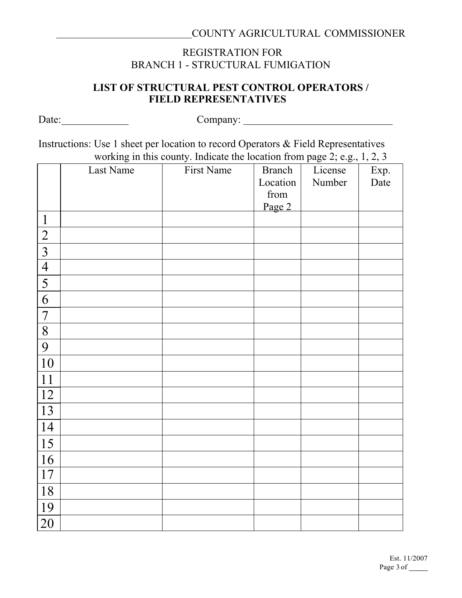## REGISTRATION FOR BRANCH 1 - STRUCTURAL FUMIGATION

#### **LIST OF STRUCTURAL PEST CONTROL OPERATORS / FIELD REPRESENTATIVES**

Date: Company: Instructions: Use 1 sheet per location to record Operators & Field Representatives working in this county. Indicate the location from page 2; e.g., 1, 2, 3 Last Name First Name Branch Location from Page 2 License Number Exp. Date 1 2 3 4 5 6 7 8 9 10 11

| 10 |  |  |  |
|----|--|--|--|
| 11 |  |  |  |
| 12 |  |  |  |
| 13 |  |  |  |
| 14 |  |  |  |
| 15 |  |  |  |
| 16 |  |  |  |
| 17 |  |  |  |
| 18 |  |  |  |
| 19 |  |  |  |
| 20 |  |  |  |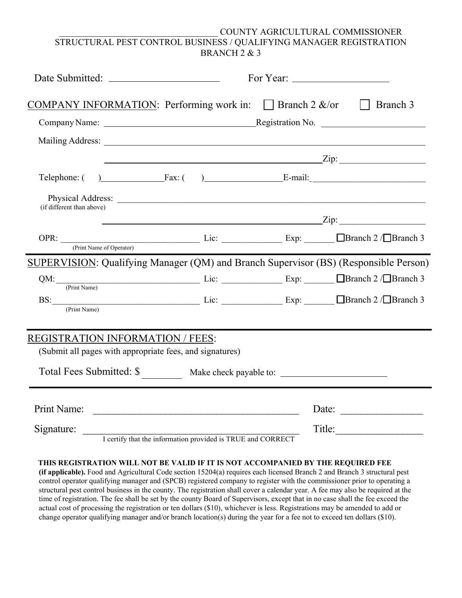#### \_\_\_\_\_\_\_\_\_\_\_\_\_\_\_\_\_\_\_\_\_\_\_\_\_\_\_\_\_\_\_\_\_\_\_ COUNTY AGRICULTURAL COMMISSIONER STRUCTURAL PEST CONTROL BUSINESS / QUALIFYING MANAGER REGISTRATION BRANCH 2 & 3

|                                                                                                                                                                                                                                                                                                                        | For Year: $\frac{1}{2}$ For Year: $\frac{1}{2}$ |  |                                         |
|------------------------------------------------------------------------------------------------------------------------------------------------------------------------------------------------------------------------------------------------------------------------------------------------------------------------|-------------------------------------------------|--|-----------------------------------------|
| <b>COMPANY INFORMATION:</b> Performing work in: Branch 2 $\&$ /or $\Box$ Branch 3                                                                                                                                                                                                                                      |                                                 |  |                                         |
|                                                                                                                                                                                                                                                                                                                        |                                                 |  |                                         |
|                                                                                                                                                                                                                                                                                                                        |                                                 |  |                                         |
|                                                                                                                                                                                                                                                                                                                        |                                                 |  | $\overline{\text{Zip:}}$                |
| Telephone: $( )$ Fax: $( )$ Fax: $( )$ E-mail:                                                                                                                                                                                                                                                                         |                                                 |  |                                         |
| (if different than above)                                                                                                                                                                                                                                                                                              |                                                 |  |                                         |
|                                                                                                                                                                                                                                                                                                                        |                                                 |  | $\chi$ ip: $\chi$ ip: $\chi$ ip: $\chi$ |
| OPR: $\frac{C}{C}$ $\frac{C}{C}$ $\frac{C}{C}$ $\frac{C}{C}$ $\frac{C}{C}$ $\frac{C}{C}$ $\frac{C}{C}$ $\frac{C}{C}$ $\frac{C}{C}$ $\frac{C}{C}$ $\frac{C}{C}$ $\frac{C}{C}$ $\frac{C}{C}$ $\frac{C}{C}$ $\frac{C}{C}$ $\frac{C}{C}$ $\frac{C}{C}$ $\frac{C}{C}$ $\frac{C}{C}$ $\frac{C}{C}$ $\frac{C}{C}$ $\frac{C}{$ |                                                 |  |                                         |
| SUPERVISION: Qualifying Manager (QM) and Branch Supervisor (BS) (Responsible Person)                                                                                                                                                                                                                                   |                                                 |  |                                         |
| $QM:$ $\frac{QM:}{(Print Name)}$ Lic: $\frac{Exp: \Box Brand \geq \sqrt{Brand} \geq 3}{(Print Name)}$                                                                                                                                                                                                                  |                                                 |  |                                         |
| BS: $\frac{\text{Eqs.}}{\text{(Print Name)}}$ Lic: $\frac{\text{Esp:}}{\text{Esp:}}$ $\frac{\text{Branch 2}}{\text{Branch 3}}$                                                                                                                                                                                         |                                                 |  |                                         |
|                                                                                                                                                                                                                                                                                                                        |                                                 |  |                                         |
| <b>REGISTRATION INFORMATION / FEES:</b><br>(Submit all pages with appropriate fees, and signatures)                                                                                                                                                                                                                    |                                                 |  |                                         |
| Total Fees Submitted: \$ ____________ Make check payable to: ____________________                                                                                                                                                                                                                                      |                                                 |  |                                         |
|                                                                                                                                                                                                                                                                                                                        |                                                 |  |                                         |
| Print Name:                                                                                                                                                                                                                                                                                                            |                                                 |  | Date:                                   |
| Signature: I certify that the information provided is TRUE and CORRECT                                                                                                                                                                                                                                                 |                                                 |  | Title:                                  |

#### **THIS REGISTRATION WILL NOT BE VALID IF IT IS NOT ACCOMPANIED BY THE REQUIRED FEE**

**(if applicable).** Food and Agricultural Code section 15204(a) requires each licensed Branch 2 and Branch 3 structural pest control operator qualifying manager and (SPCB) registered company to register with the commissioner prior to operating a structural pest control business in the county. The registration shall cover a calendar year. A fee may also be required at the time of registration. The fee shall be set by the county Board of Supervisors, except that in no case shall the fee exceed the actual cost of processing the registration or ten dollars (\$10), whichever is less. Registrations may be amended to add or change operator qualifying manager and/or branch location(s) during the year for a fee not to exceed ten dollars (\$10).